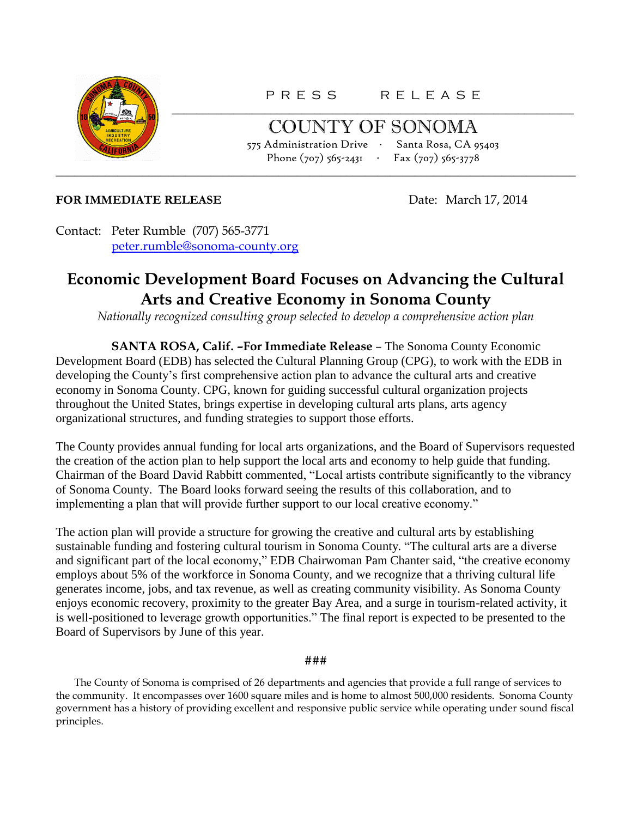

P R E S S R E L E A S E \_\_\_\_\_\_\_\_\_\_\_\_\_\_\_\_\_\_\_\_\_\_\_\_\_\_\_\_\_\_\_\_\_\_\_\_\_\_\_\_\_\_\_\_\_\_\_\_\_\_\_\_\_\_\_\_\_\_\_\_\_\_\_\_\_

COUNTY OF SONOMA 575 Administration Drive ∙ Santa Rosa, CA 95403 Phone (707) 565-2431 ∙ Fax (707) 565-3778 \_\_\_\_\_\_\_\_\_\_\_\_\_\_\_\_\_\_\_\_\_\_\_\_\_\_\_\_\_\_\_\_\_\_\_\_\_\_\_\_\_\_\_\_\_\_\_\_\_\_\_\_\_\_\_\_\_\_\_\_\_\_\_\_\_\_\_\_\_\_\_\_\_\_\_\_\_\_\_\_\_\_\_\_

## **FOR IMMEDIATE RELEASE** Date: March 17, 2014

Contact: Peter Rumble (707) 565-3771 [peter.rumble@sonoma-county.org](mailto:peter.rumble@sonoma-county.org)

## **Economic Development Board Focuses on Advancing the Cultural Arts and Creative Economy in Sonoma County**

*Nationally recognized consulting group selected to develop a comprehensive action plan*

**SANTA ROSA, Calif. –For Immediate Release** – The Sonoma County Economic Development Board (EDB) has selected the Cultural Planning Group (CPG), to work with the EDB in developing the County's first comprehensive action plan to advance the cultural arts and creative economy in Sonoma County. CPG, known for guiding successful cultural organization projects throughout the United States, brings expertise in developing cultural arts plans, arts agency organizational structures, and funding strategies to support those efforts.

The County provides annual funding for local arts organizations, and the Board of Supervisors requested the creation of the action plan to help support the local arts and economy to help guide that funding. Chairman of the Board David Rabbitt commented, "Local artists contribute significantly to the vibrancy of Sonoma County. The Board looks forward seeing the results of this collaboration, and to implementing a plan that will provide further support to our local creative economy."

The action plan will provide a structure for growing the creative and cultural arts by establishing sustainable funding and fostering cultural tourism in Sonoma County. "The cultural arts are a diverse and significant part of the local economy," EDB Chairwoman Pam Chanter said, "the creative economy employs about 5% of the workforce in Sonoma County, and we recognize that a thriving cultural life generates income, jobs, and tax revenue, as well as creating community visibility. As Sonoma County enjoys economic recovery, proximity to the greater Bay Area, and a surge in tourism-related activity, it is well-positioned to leverage growth opportunities." The final report is expected to be presented to the Board of Supervisors by June of this year.

###

The County of Sonoma is comprised of 26 departments and agencies that provide a full range of services to the community. It encompasses over 1600 square miles and is home to almost 500,000 residents. Sonoma County government has a history of providing excellent and responsive public service while operating under sound fiscal principles.